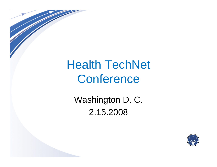### Health TechNet **Conference**

Washington D. C. 2.15.2008

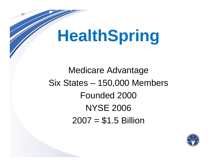## **HealthSpring**

Medicare Advantage Six States – 150,000 Members Founded 2000 NYSE 2006  $2007 = $1.5$  Billion

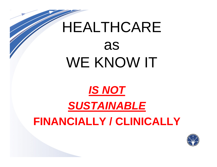# **HEALTHCARE** as WE KNOW IT

## **IS NOT SUSTAINABLE** FINANCIALLY / CLINICALLY

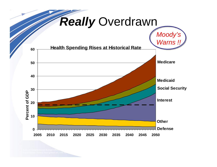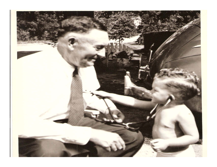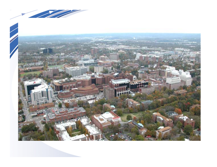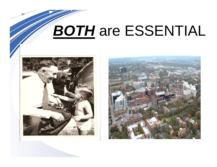## **BOTH** are ESSENTIAL



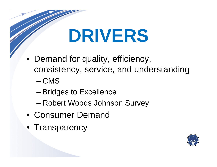# **DRIVERS**

- Demand for quality, efficiency, consistency, service, and understanding
	- CMS
	- Bridges to Excellence
	- –Robert Woods Johnson Survey
- Consumer Demand
- Transparency

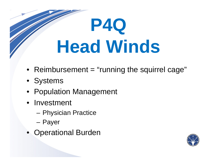# **P4Q Head Winds**

- Reimbursement = "running the squirrel cage"
- Systems
- Population Management
- Investment
	- Physician Practice
	- Payer
- Operational Burden

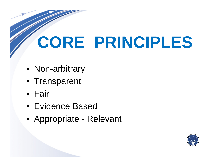# **CORE PRINCIPLES**

- Non-arbitrary
- Transparent
- Fair
- Evidence Based
- Appropriate Relevant

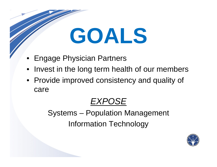# **GOALS**

- •Engage Physician Partners
- Invest in the long term health of our members
- Provide improved consistency and quality of care

### *EXPOSE*

Systems – Population Management Information Technology

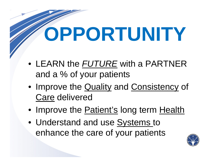# **OPPORTUNITY**

- LEARN the *FUTURE* with a PARTNER and a % of your patients
- Improve the Quality and Consistency of Care delivered
- Improve the <u>Patient's</u> long term <u>Health</u>
- Understand and use Systems to enhance the care of your patients

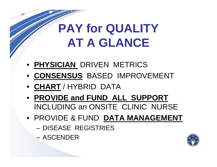## **PAY for QUALITY AT A GLANCE**

- **PHYSICIAN** DRIVEN METRICS
- **CONSENSUS** BASED IMPROVEMENT
- **CHART** / HYBRID DATA
- **PROVIDE and FUND ALL SUPPORT**  INCLUDING an ONSITE CLINIC NURSE
- PROVIDE & FUND **DATA MANAGEMENT**
	- DISEASE REGISTRIES
	- ASCENDER

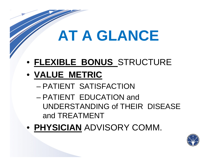## **AT A GLANCE**

- **FLEXIBLE BONUS** STRUCTURE
- **VALUE METRIC**
	- PATIENT SATISFACTION
	- PATIENT EDUCATION and UNDERSTANDING of THEIR DISEASE and TREATMENT
- **PHYSICIAN** ADVISORY COMM.

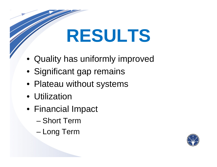# **RESULTS**

- Quality has uniformly improved
- Significant gap remains
- Plateau without systems
- Utilization
- Financial Impact
	- Short Term
	- –Long Term

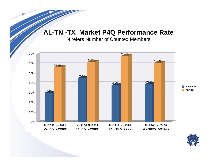#### **AL-TN -TX Market P4Q Performance Rate**

N refers Number of Counted Members



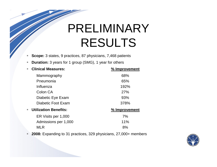## PRELIMINARY RESULTS

- $\overline{\phantom{a}}$ **Scope:** 3 states, 9 practices, 87 physicians, 7,468 patients
- $\mathbf{r}$ **Duration:** 3 years for 1 group (SMG), 1 year for others

| <b>Clinical Measures:</b>    | % Improvement |
|------------------------------|---------------|
| Mammography                  | 68%           |
| Pneumonia                    | 65%           |
| Influenza                    | 192%          |
| Colon CA                     | 27%           |
| Diabetic Eye Exam            | 93%           |
| Diabetic Foot Exam           | 378%          |
| <b>Utilization Benefits:</b> | % Improvement |
| ER Visits per 1,000          | 7%            |
| Admissions per 1,000         | 11%           |
| <b>MLR</b>                   | 8%            |

 $\blacksquare$ **2008:** Expanding to 31 practices, 329 physicians, 27,000+ members

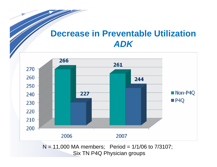#### **Decrease in Preventable Utilization**  *ADK*



 $N = 11,000$  MA members; Period =  $1/1/06$  to  $7/3107$ ; Six TN P4Q Physician groups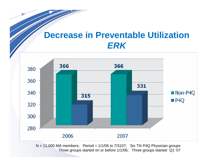#### **Decrease in Preventable Utilization**  *ERK*



 $N = 11,000$  MA members; Period =  $1/1/06$  to  $7/3107$ ; Six TN P4Q Physician groups Three groups started on or before 1/1/06; Three groups started Q1 '07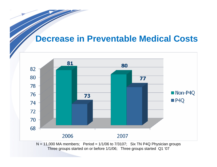#### **Decrease in Preventable Medical Costs**



 $N = 11,000$  MA members; Period =  $1/1/06$  to  $7/3107$ ; Six TN P4Q Physician groups Three groups started on or before 1/1/06; Three groups started Q1 '07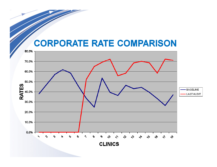### **CORPORATE RATE COMPARISON**

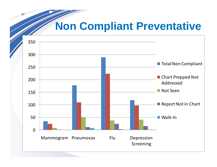### **Non Compliant Preventative**

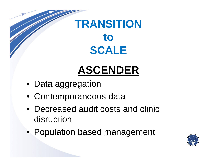

## **ASCENDER**

- Data aggregation
- Contemporaneous data
- Decreased audit costs and clinic disruption
- Population based management

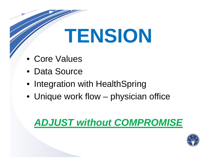# **TENSION**

- Core Values
- Data Source
- Integration with HealthSpring
- Unique work flow physician office

### *ADJUST without COMPROMISE*

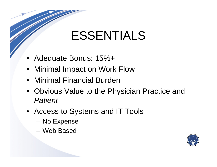### ESSENTIALS

- Adequate Bonus: 15%+
- Minimal Impact on Work Flow
- Minimal Financial Burden
- Obvious Value to the Physician Practice and *Patient*
- Access to Systems and IT Tools
	- –No Expense
	- Web Based